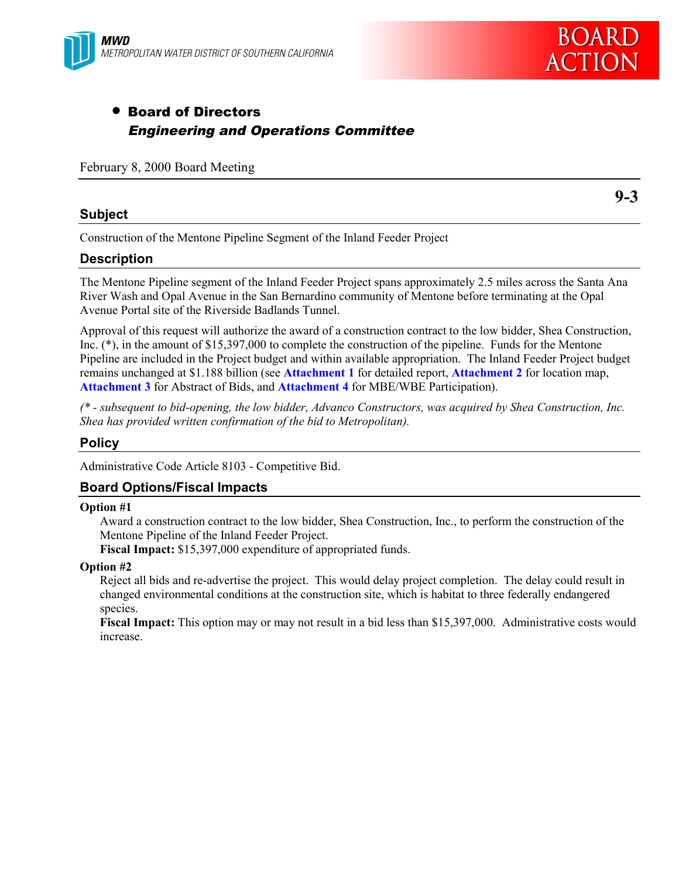

# • Board of Directors Engineering and Operations Committee

February 8, 2000 Board Meeting

#### **Subject**

Construction of the Mentone Pipeline Segment of the Inland Feeder Project

#### **Description**

The Mentone Pipeline segment of the Inland Feeder Project spans approximately 2.5 miles across the Santa Ana River Wash and Opal Avenue in the San Bernardino community of Mentone before terminating at the Opal Avenue Portal site of the Riverside Badlands Tunnel.

Approval of this request will authorize the award of a construction contract to the low bidder, Shea Construction, Inc. (\*), in the amount of \$15,397,000 to complete the construction of the pipeline. Funds for the Mentone Pipeline are included in the Project budget and within available appropriation. The Inland Feeder Project budget remains unchanged at \$1.188 billion (see **Attachment 1** for detailed report, **Attachment 2** for location map, **Attachment 3** for Abstract of Bids, and **Attachment 4** for MBE/WBE Participation).

*(\* - subsequent to bid-opening, the low bidder, Advanco Constructors, was acquired by Shea Construction, Inc. Shea has provided written confirmation of the bid to Metropolitan).*

#### **Policy**

Administrative Code Article 8103 - Competitive Bid.

### **Board Options/Fiscal Impacts**

#### **Option #1**

Award a construction contract to the low bidder, Shea Construction, Inc., to perform the construction of the Mentone Pipeline of the Inland Feeder Project.

**Fiscal Impact:** \$15,397,000 expenditure of appropriated funds.

#### **Option #2**

Reject all bids and re-advertise the project. This would delay project completion. The delay could result in changed environmental conditions at the construction site, which is habitat to three federally endangered species.

**Fiscal Impact:** This option may or may not result in a bid less than \$15,397,000. Administrative costs would increase.

**9-3**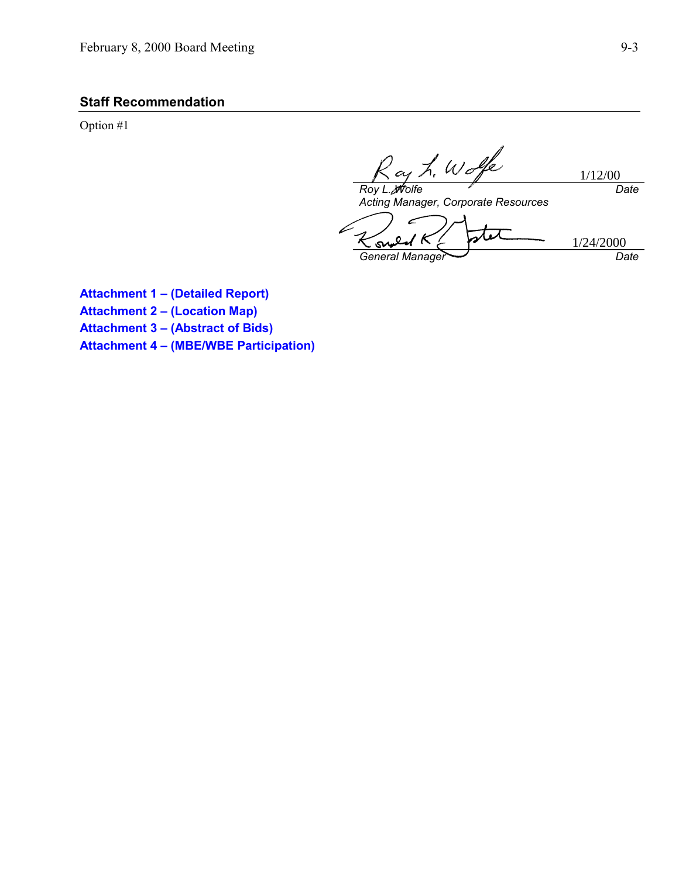## **Staff Recommendation**

Option #1

ay L. Wolfe 1/12/00 *Roy L. Wolfe Date*

*Acting Manager, Corporate Resources*

 $\epsilon$ stet 1/24/2000S, *General Manager Date*

**Attachment 1 – (Detailed Report) Attachment 2 – (Location Map) Attachment 3 – (Abstract of Bids) Attachment 4 – (MBE/WBE Participation)**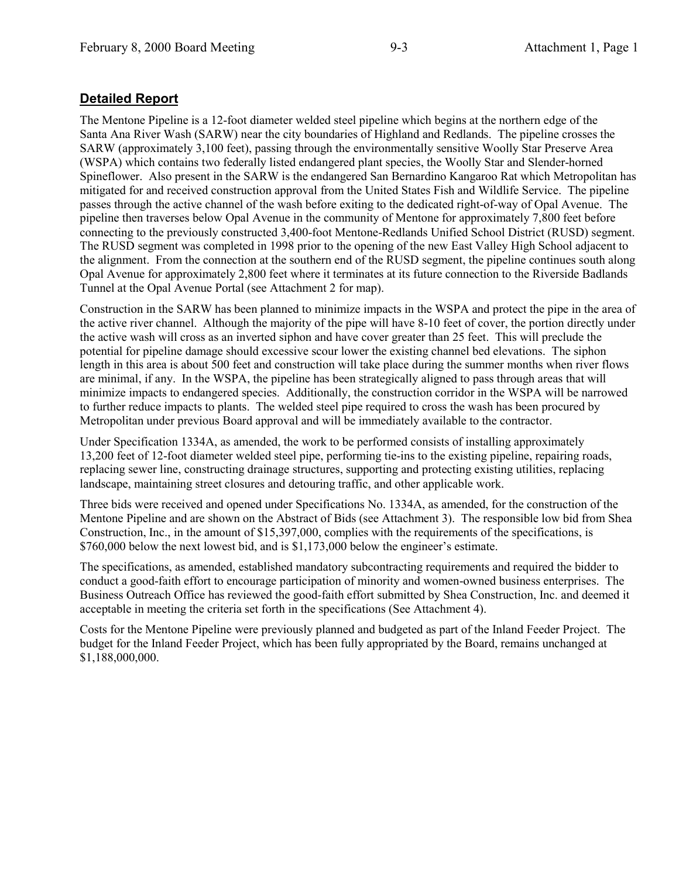## **Detailed Report**

The Mentone Pipeline is a 12-foot diameter welded steel pipeline which begins at the northern edge of the Santa Ana River Wash (SARW) near the city boundaries of Highland and Redlands. The pipeline crosses the SARW (approximately 3,100 feet), passing through the environmentally sensitive Woolly Star Preserve Area (WSPA) which contains two federally listed endangered plant species, the Woolly Star and Slender-horned Spineflower. Also present in the SARW is the endangered San Bernardino Kangaroo Rat which Metropolitan has mitigated for and received construction approval from the United States Fish and Wildlife Service. The pipeline passes through the active channel of the wash before exiting to the dedicated right-of-way of Opal Avenue. The pipeline then traverses below Opal Avenue in the community of Mentone for approximately 7,800 feet before connecting to the previously constructed 3,400-foot Mentone-Redlands Unified School District (RUSD) segment. The RUSD segment was completed in 1998 prior to the opening of the new East Valley High School adjacent to the alignment. From the connection at the southern end of the RUSD segment, the pipeline continues south along Opal Avenue for approximately 2,800 feet where it terminates at its future connection to the Riverside Badlands Tunnel at the Opal Avenue Portal (see Attachment 2 for map).

Construction in the SARW has been planned to minimize impacts in the WSPA and protect the pipe in the area of the active river channel. Although the majority of the pipe will have 8-10 feet of cover, the portion directly under the active wash will cross as an inverted siphon and have cover greater than 25 feet. This will preclude the potential for pipeline damage should excessive scour lower the existing channel bed elevations. The siphon length in this area is about 500 feet and construction will take place during the summer months when river flows are minimal, if any. In the WSPA, the pipeline has been strategically aligned to pass through areas that will minimize impacts to endangered species. Additionally, the construction corridor in the WSPA will be narrowed to further reduce impacts to plants. The welded steel pipe required to cross the wash has been procured by Metropolitan under previous Board approval and will be immediately available to the contractor.

Under Specification 1334A, as amended, the work to be performed consists of installing approximately 13,200 feet of 12-foot diameter welded steel pipe, performing tie-ins to the existing pipeline, repairing roads, replacing sewer line, constructing drainage structures, supporting and protecting existing utilities, replacing landscape, maintaining street closures and detouring traffic, and other applicable work.

Three bids were received and opened under Specifications No. 1334A, as amended, for the construction of the Mentone Pipeline and are shown on the Abstract of Bids (see Attachment 3). The responsible low bid from Shea Construction, Inc., in the amount of \$15,397,000, complies with the requirements of the specifications, is \$760,000 below the next lowest bid, and is \$1,173,000 below the engineer's estimate.

The specifications, as amended, established mandatory subcontracting requirements and required the bidder to conduct a good-faith effort to encourage participation of minority and women-owned business enterprises. The Business Outreach Office has reviewed the good-faith effort submitted by Shea Construction, Inc. and deemed it acceptable in meeting the criteria set forth in the specifications (See Attachment 4).

Costs for the Mentone Pipeline were previously planned and budgeted as part of the Inland Feeder Project. The budget for the Inland Feeder Project, which has been fully appropriated by the Board, remains unchanged at \$1,188,000,000.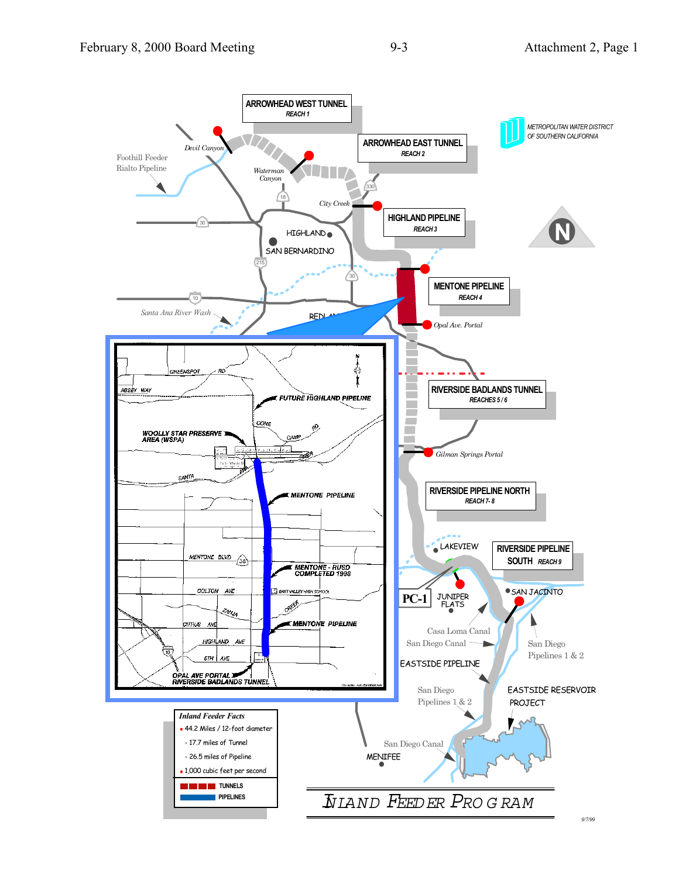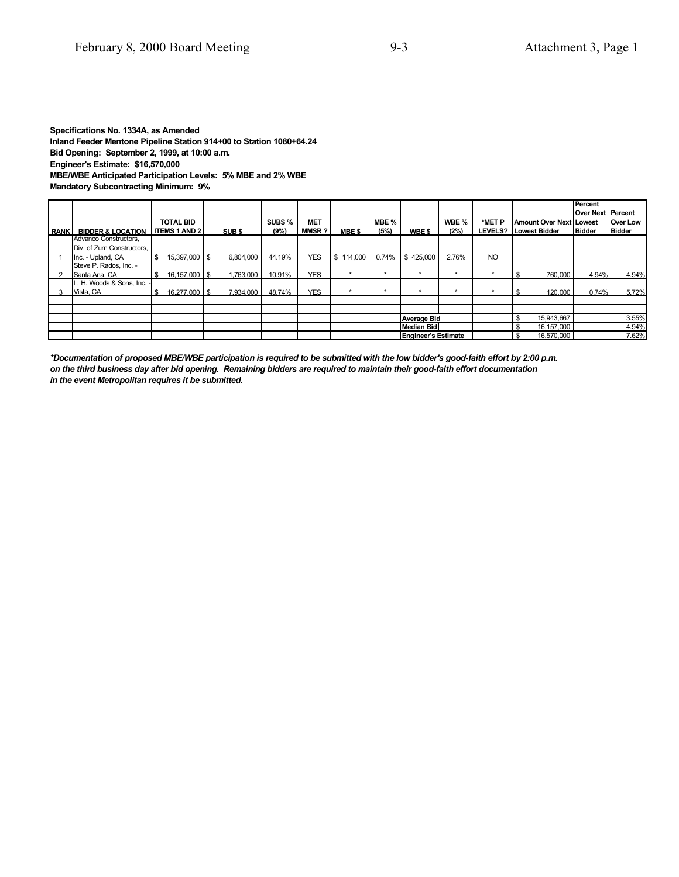#### **Specifications No. 1334A, as Amended Inland Feeder Mentone Pipeline Station 914+00 to Station 1080+64.24 Bid Opening: September 2, 1999, at 10:00 a.m. Engineer's Estimate: \$16,570,000 MBE/WBE Anticipated Participation Levels: 5% MBE and 2% WBE Mandatory Subcontracting Minimum: 9%**

| <b>RANKI</b> | <b>BIDDER &amp; LOCATION</b> |          | <b>TOTAL BID</b><br><b>I ITEMS 1 AND 2</b> | SUB <sub>\$</sub> | SUBS %<br>(9%) | MET<br><b>MMSR?</b> | MBE \$    | MBE %<br>(5%) | WBE \$                | WBE %<br>(2%) | *MET P<br>LEVELS? Lowest Bidder | <b>Amount Over Next Lowest</b> | Percent<br>Over Next Percent<br><b>IBidder</b> | Over Low<br><b>Bidder</b> |
|--------------|------------------------------|----------|--------------------------------------------|-------------------|----------------|---------------------|-----------|---------------|-----------------------|---------------|---------------------------------|--------------------------------|------------------------------------------------|---------------------------|
|              | Advanco Constructors,        |          |                                            |                   |                |                     |           |               |                       |               |                                 |                                |                                                |                           |
|              | Div. of Zurn Constructors.   |          |                                            |                   |                |                     |           |               |                       |               |                                 |                                |                                                |                           |
|              | Inc. - Upland, CA            | <b>S</b> | 15,397,000 \$                              | 6,804,000         | 44.19%         | <b>YES</b>          | \$114,000 |               | $0.74\%$ \ \$ 425,000 | 2.76%         | <b>NO</b>                       |                                |                                                |                           |
|              | Steve P. Rados, Inc. -       |          |                                            |                   |                |                     |           |               |                       |               |                                 |                                |                                                |                           |
|              | Santa Ana, CA                | - \$     | 16,157,000   \$                            | 1,763,000         | 10.91%         | <b>YES</b>          | $\star$   | ۰             | $\star$               |               |                                 | 760,000                        | 4.94%                                          | 4.94%                     |
|              | L. H. Woods & Sons, Inc. -   |          |                                            |                   |                |                     |           |               |                       |               |                                 |                                |                                                |                           |
|              | Vista, CA                    | - \$     | 16,277,000 \$                              | 7.934.000         | 48.74%         | <b>YES</b>          | $\star$   | ۰             | $\star$               |               |                                 | 120,000                        | 0.74%                                          | 5.72%                     |
|              |                              |          |                                            |                   |                |                     |           |               |                       |               |                                 |                                |                                                |                           |
|              |                              |          |                                            |                   |                |                     |           |               |                       |               |                                 |                                |                                                |                           |
|              |                              |          |                                            |                   |                |                     |           |               | <b>Average Bid</b>    |               |                                 | 15,943,667                     |                                                | 3.55%                     |
|              |                              |          |                                            |                   |                |                     |           |               | Median Bid            |               |                                 | 16,157,000                     |                                                | 4.94%                     |
|              |                              |          |                                            |                   |                |                     |           |               | Engineer's Estimate   |               |                                 | 16,570,000                     |                                                | 7.62%                     |

*\*Documentation of proposed MBE/WBE participation is required to be submitted with the low bidder's good-faith effort by 2:00 p.m. on the third business day after bid opening. Remaining bidders are required to maintain their good-faith effort documentation in the event Metropolitan requires it be submitted.*